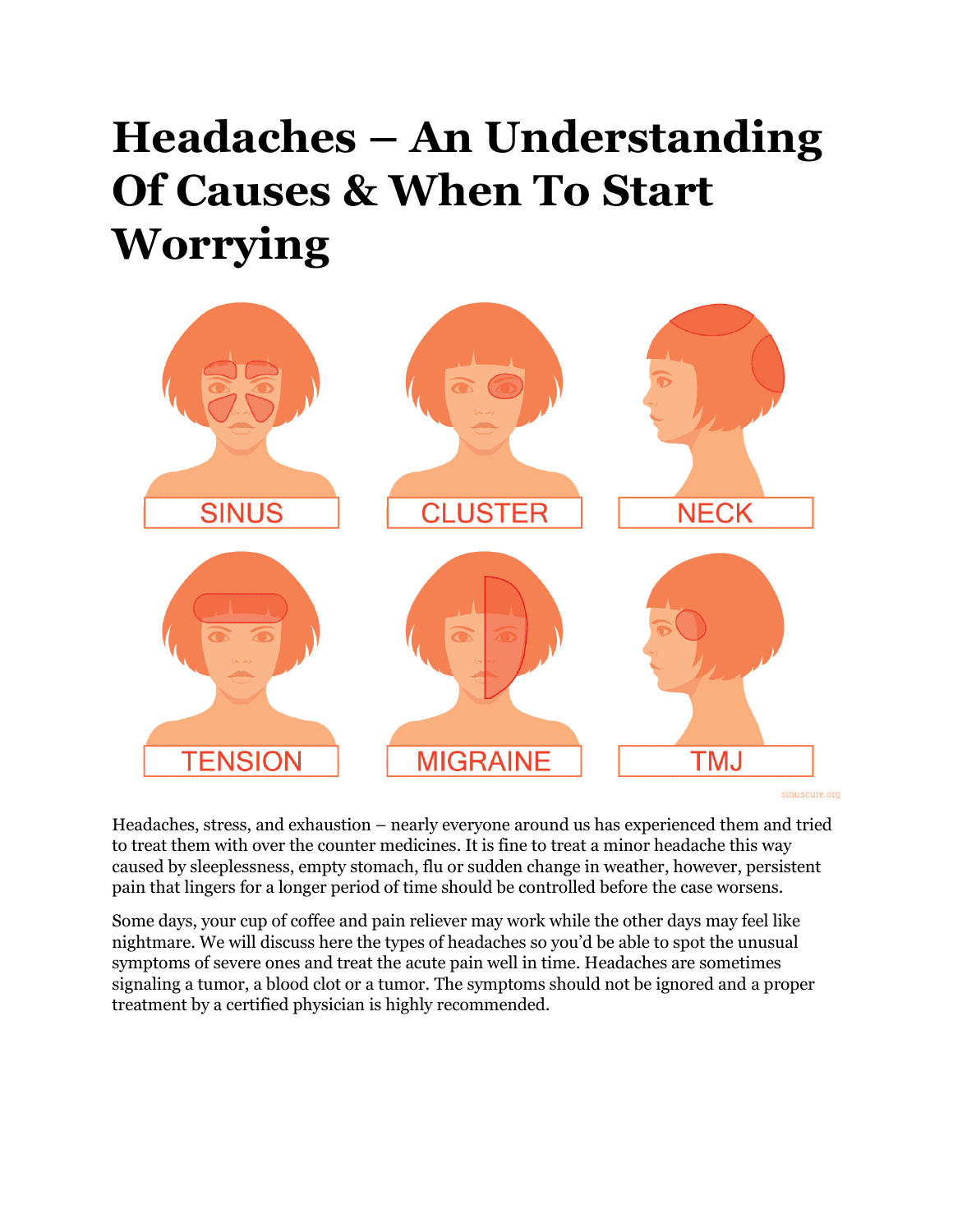# **Headaches – An Understanding Of Causes & When To Start Worrying**



sinuscure.org

Headaches, stress, and exhaustion – nearly everyone around us has experienced them and tried to treat them with over the counter medicines. It is fine to treat a minor headache this way caused by sleeplessness, empty stomach, flu or sudden change in weather, however, persistent pain that lingers for a longer period of time should be controlled before the case worsens.

Some days, your cup of coffee and pain reliever may work while the other days may feel like nightmare. We will discuss here the types of headaches so you'd be able to spot the unusual symptoms of severe ones and treat the acute pain well in time. Headaches are sometimes signaling a tumor, a blood clot or a tumor. The symptoms should not be ignored and a proper treatment by a certified physician is highly recommended.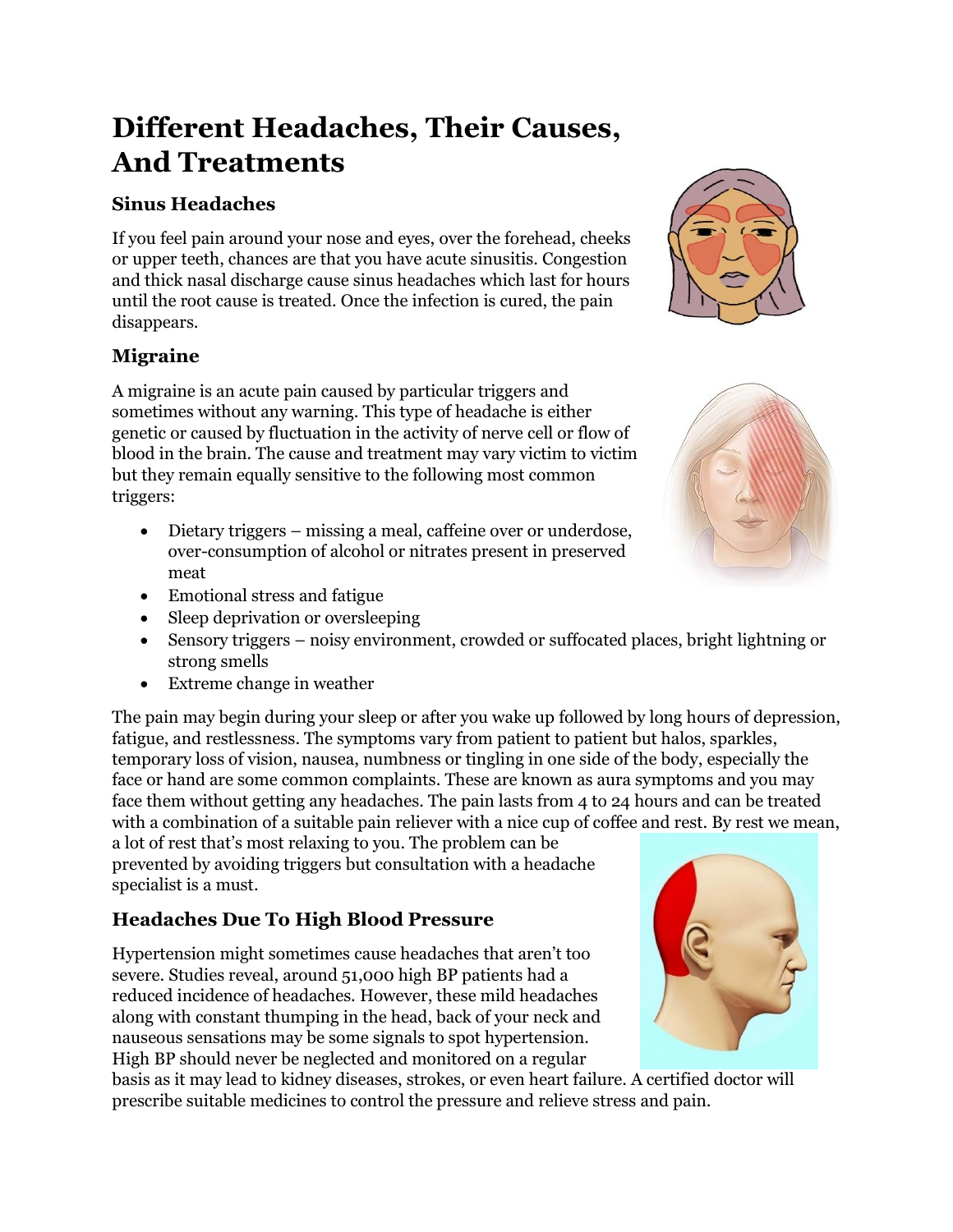## **Different Headaches, Their Causes, And Treatments**

#### **Sinus Headaches**

If you feel pain around your nose and eyes, over the forehead, cheeks or upper teeth, chances are that you have acute sinusitis. Congestion and thick nasal discharge cause sinus headaches which last for hours until the root cause is treated. Once the infection is cured, the pain disappears.

#### **Migraine**

A migraine is an acute pain caused by particular triggers and sometimes without any warning. This type of headache is either genetic or caused by fluctuation in the activity of nerve cell or flow of blood in the brain. The cause and treatment may vary victim to victim but they remain equally sensitive to the following most common triggers:

- Dietary triggers missing a meal, caffeine over or underdose, over-consumption of alcohol or nitrates present in preserved meat
- Emotional stress and fatigue
- Sleep deprivation or oversleeping
- Sensory triggers noisy environment, crowded or suffocated places, bright lightning or strong smells
- Extreme change in weather

The pain may begin during your sleep or after you wake up followed by long hours of depression, fatigue, and restlessness. The symptoms vary from patient to patient but halos, sparkles, temporary loss of vision, nausea, numbness or tingling in one side of the body, especially the face or hand are some common complaints. These are known as aura symptoms and you may face them without getting any headaches. The pain lasts from 4 to 24 hours and can be treated with a combination of a suitable pain reliever with a nice cup of coffee and rest. By rest we mean,

a lot of rest that's most relaxing to you. The problem can be prevented by avoiding triggers but consultation with a headache specialist is a must.

### **Headaches Due To High Blood Pressure**

Hypertension might sometimes cause headaches that aren't too severe. Studies reveal, around 51,000 high BP patients had a reduced incidence of headaches. However, these mild headaches along with constant thumping in the head, back of your neck and nauseous sensations may be some signals to spot hypertension. High BP should never be neglected and monitored on a regular

basis as it may lead to kidney diseases, strokes, or even heart failure. A certified doctor will prescribe suitable medicines to control the pressure and relieve stress and pain.